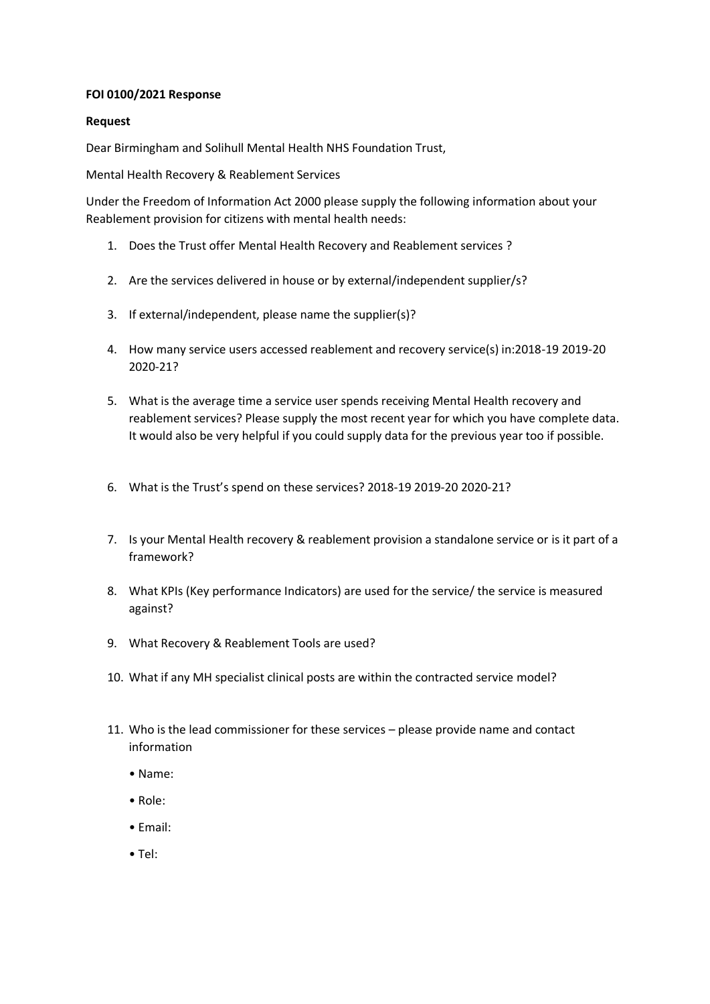## **FOI 0100/2021 Response**

## **Request**

Dear Birmingham and Solihull Mental Health NHS Foundation Trust,

Mental Health Recovery & Reablement Services

Under the Freedom of Information Act 2000 please supply the following information about your Reablement provision for citizens with mental health needs:

- 1. Does the Trust offer Mental Health Recovery and Reablement services ?
- 2. Are the services delivered in house or by external/independent supplier/s?
- 3. If external/independent, please name the supplier(s)?
- 4. How many service users accessed reablement and recovery service(s) in:2018-19 2019-20 2020-21?
- 5. What is the average time a service user spends receiving Mental Health recovery and reablement services? Please supply the most recent year for which you have complete data. It would also be very helpful if you could supply data for the previous year too if possible.
- 6. What is the Trust's spend on these services? 2018-19 2019-20 2020-21?
- 7. Is your Mental Health recovery & reablement provision a standalone service or is it part of a framework?
- 8. What KPIs (Key performance Indicators) are used for the service/ the service is measured against?
- 9. What Recovery & Reablement Tools are used?
- 10. What if any MH specialist clinical posts are within the contracted service model?
- 11. Who is the lead commissioner for these services please provide name and contact information
	- Name:
	- Role:
	- Email:
	- Tel: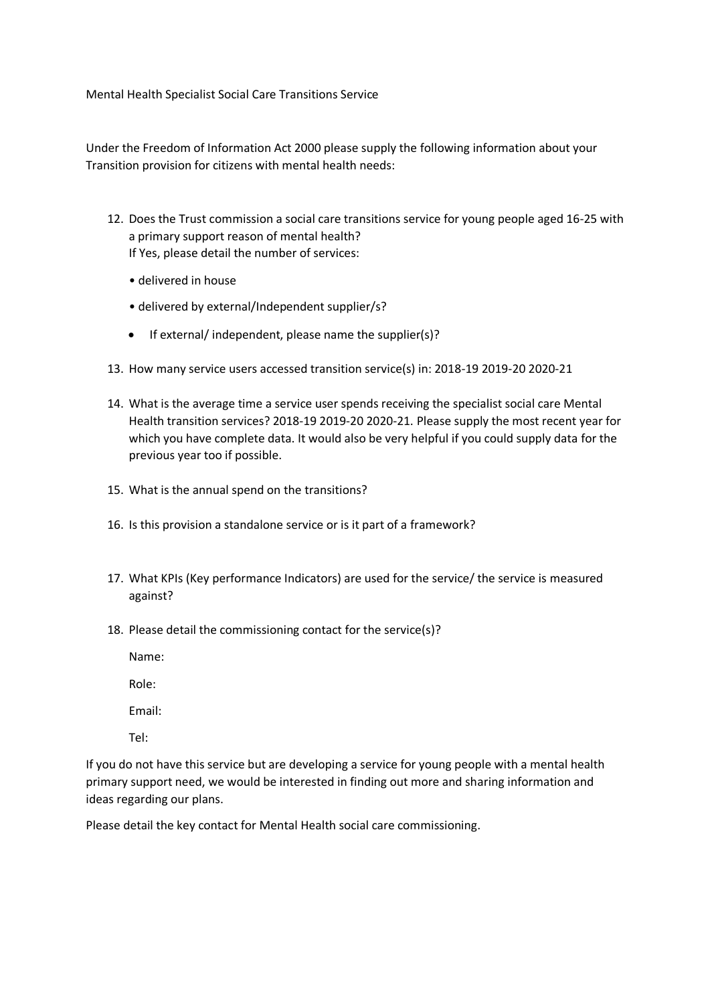Mental Health Specialist Social Care Transitions Service

Under the Freedom of Information Act 2000 please supply the following information about your Transition provision for citizens with mental health needs:

- 12. Does the Trust commission a social care transitions service for young people aged 16-25 with a primary support reason of mental health? If Yes, please detail the number of services:
	- delivered in house
	- delivered by external/Independent supplier/s?
	- If external/ independent, please name the supplier(s)?
- 13. How many service users accessed transition service(s) in: 2018-19 2019-20 2020-21
- 14. What is the average time a service user spends receiving the specialist social care Mental Health transition services? 2018-19 2019-20 2020-21. Please supply the most recent year for which you have complete data. It would also be very helpful if you could supply data for the previous year too if possible.
- 15. What is the annual spend on the transitions?
- 16. Is this provision a standalone service or is it part of a framework?
- 17. What KPIs (Key performance Indicators) are used for the service/ the service is measured against?
- 18. Please detail the commissioning contact for the service(s)?

Name:

Role:

Email:

Tel:

If you do not have this service but are developing a service for young people with a mental health primary support need, we would be interested in finding out more and sharing information and ideas regarding our plans.

Please detail the key contact for Mental Health social care commissioning.